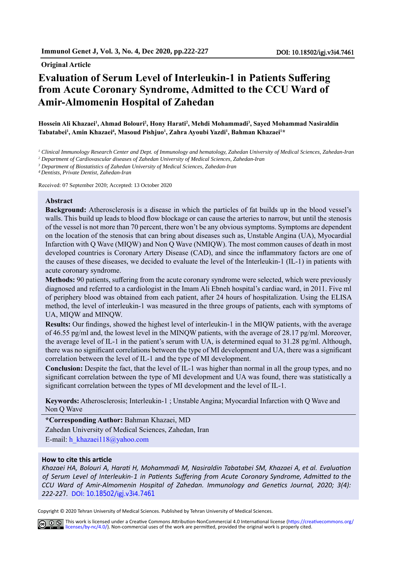#### **Original Article**

# **Evaluation of Serum Level of Interleukin-1 in Patients Suffering from Acute Coronary Syndrome, Admitted to the CCU Ward of Amir-Almomenin Hospital of Zahedan**

#### **Hossein Ali Khazaei<sup>1</sup> , Ahmad Bolouri<sup>2</sup> , Hony Harati<sup>2</sup> , Mehdi Mohammadi<sup>3</sup> , Sayed Mohammad Nasiraldin Tabatabei<sup>1</sup> , Amin Khazaei<sup>4</sup> , Masoud Pishjuo<sup>1</sup> , Zahra Ayoubi Yazdi<sup>1</sup> , Bahman Khazaei<sup>1</sup>\***

*<sup>1</sup> Clinical Immunology Research Center and Dept. of Immunology and hematology, Zahedan University of Medical Sciences, Zahedan-Iran*

*<sup>2</sup> Department of Cardiovascular diseases of Zahedan University of Medical Sciences, Zahedan-Iran*

*<sup>3</sup> Department of Biostatistics of Zahedan University of Medical Sciences, Zahedan-Iran*

*<sup>4</sup> Dentists, Private Dentist, Zahedan-Iran*

Received: 07 September 2020; Accepted: 13 October 2020

#### **Abstract**

**Background:** Atherosclerosis is a disease in which the particles of fat builds up in the blood vessel's walls. This build up leads to blood flow blockage or can cause the arteries to narrow, but until the stenosis of the vessel is not more than 70 percent, there won't be any obvious symptoms. Symptoms are dependent on the location of the stenosis that can bring about diseases such as, Unstable Angina (UA), Myocardial Infarction with Q Wave (MIQW) and Non Q Wave (NMIQW). The most common causes of death in most developed countries is Coronary Artery Disease (CAD), and since the inflammatory factors are one of the causes of these diseases, we decided to evaluate the level of the Interleukin-1 (IL-1) in patients with acute coronary syndrome.

**Methods:** 90 patients, suffering from the acute coronary syndrome were selected, which were previously diagnosed and referred to a cardiologist in the Imam Ali Ebneh hospital's cardiac ward, in 2011. Five ml of periphery blood was obtained from each patient, after 24 hours of hospitalization. Using the ELISA method, the level of interleukin-1 was measured in the three groups of patients, each with symptoms of UA, MIQW and MINQW.

**Results:** Our findings, showed the highest level of interleukin-1 in the MIQW patients, with the average of 46.55 pg/ml and, the lowest level in the MINQW patients, with the average of 28.17 pg/ml. Moreover, the average level of IL-1 in the patient's serum with UA, is determined equal to 31.28 pg/ml. Although, there was no significant correlations between the type of MI development and UA, there was a significant correlation between the level of IL-1 and the type of MI development.

**Conclusion:** Despite the fact, that the level of IL-1 was higher than normal in all the group types, and no significant correlation between the type of MI development and UA was found, there was statistically a significant correlation between the types of MI development and the level of IL-1.

**Keywords:** Atherosclerosis; Interleukin-1 ; Unstable Angina; Myocardial Infarction with Q Wave and Non Q Wave

**\*Corresponding Author:** Bahman Khazaei, MD Zahedan University of Medical Sciences, Zahedan, Iran E-mail: h\_khazaei118@yahoo.com

#### **How to cite this article**

*Khazaei HA, Bolouri A, Harati H, Mohammadi M, Nasiraldin Tabatabei SM, Khazaei A, et al. Evaluation of Serum Level of Interleukin-1 in Patients Suffering from Acute Coronary Syndrome, Admitted to the CCU Ward of Amir-Almomenin Hospital of Zahedan. Immunology and Genetics Journal, 2020; 3(4): 222-227.* DOI: 10.18502/igj.v3[i4](http://).7461

Copyright © 2020 Tehran University of Medical Sciences. Published by Tehran University of Medical Sciences.

This work is licensed under a Creative Commons Attribution-NonCommercial 4.0 International license (https://creativecommons.org/ licenses/by-nc/4.0/). Non-commercial uses of the work are permitted, provided the original work is properly cited.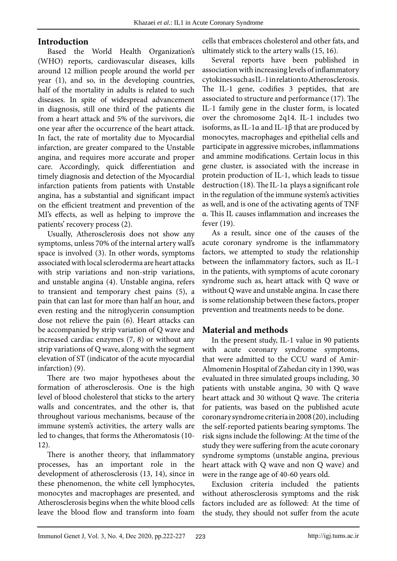#### **Introduction**

Based the World Health Organization's (WHO) reports, cardiovascular diseases, kills around 12 million people around the world per year (1), and so, in the developing countries, half of the mortality in adults is related to such diseases. In spite of widespread advancement in diagnosis, still one third of the patients die from a heart attack and 5% of the survivors, die one year after the occurrence of the heart attack. In fact, the rate of mortality due to Myocardial infarction, are greater compared to the Unstable angina, and requires more accurate and proper care. Accordingly, quick differentiation and timely diagnosis and detection of the Myocardial infarction patients from patients with Unstable angina, has a substantial and significant impact on the efficient treatment and prevention of the MI's effects, as well as helping to improve the patients' recovery process (2).

Usually, Atherosclerosis does not show any symptoms, unless 70% of the internal artery wall's space is involved (3). In other words, symptoms associated with local scleroderma are heart attacks with strip variations and non-strip variations, and unstable angina (4). Unstable angina, refers to transient and temporary chest pains (5), a pain that can last for more than half an hour, and even resting and the nitroglycerin consumption dose not relieve the pain (6). Heart attacks can be accompanied by strip variation of Q wave and increased cardiac enzymes (7, 8) or without any strip variations of Q wave, along with the segment elevation of ST (indicator of the acute myocardial infarction) (9).

There are two major hypotheses about the formation of atherosclerosis. One is the high level of blood cholesterol that sticks to the artery walls and concentrates, and the other is, that throughout various mechanisms, because of the immune system's activities, the artery walls are led to changes, that forms the Atheromatosis (10- 12).

There is another theory, that inflammatory processes, has an important role in the development of atherosclerosis (13, 14), since in these phenomenon, the white cell lymphocytes, monocytes and macrophages are presented, and Atherosclerosis begins when the white blood cells leave the blood flow and transform into foam

cells that embraces cholesterol and other fats, and ultimately stick to the artery walls (15, 16).

Several reports have been published in association with increasing levels of inflammatory cytokines such as IL-1 in relation to Atherosclerosis. The IL-1 gene, codifies 3 peptides, that are associated to structure and performance (17). The IL-1 family gene in the cluster form, is located over the chromosome 2q14. IL-1 includes two isoforms, as IL-1α and IL-1β that are produced by monocytes, macrophages and epithelial cells and participate in aggressive microbes, inflammations and ammine modifications. Certain locus in this gene cluster, is associated with the increase in protein production of IL-1, which leads to tissue destruction (18). The IL-1α plays a significant role in the regulation of the immune system's activities as well, and is one of the activating agents of TNF α. This IL causes inflammation and increases the fever (19).

As a result, since one of the causes of the acute coronary syndrome is the inflammatory factors, we attempted to study the relationship between the inflammatory factors, such as IL-1 in the patients, with symptoms of acute coronary syndrome such as, heart attack with Q wave or without Q wave and unstable angina. In case there is some relationship between these factors, proper prevention and treatments needs to be done.

### **Material and methods**

In the present study, IL-1 value in 90 patients with acute coronary syndrome symptoms, that were admitted to the CCU ward of Amir-Almomenin Hospital of Zahedan city in 1390, was evaluated in three simulated groups including, 30 patients with unstable angina, 30 with Q wave heart attack and 30 without Q wave. The criteria for patients, was based on the published acute coronary syndrome criteria in 2008 (20), including the self-reported patients bearing symptoms. The risk signs include the following: At the time of the study they were suffering from the acute coronary syndrome symptoms (unstable angina, previous heart attack with Q wave and non Q wave) and were in the range age of 40-60 years old.

Exclusion criteria included the patients without atherosclerosis symptoms and the risk factors included are as followed: At the time of the study, they should not suffer from the acute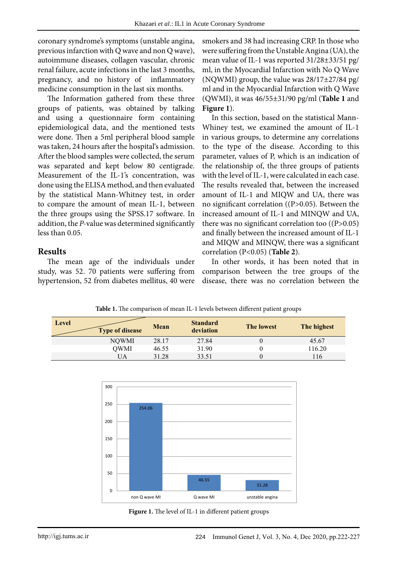coronary syndrome's symptoms (unstable angina, previous infarction with Q wave and non Q wave), autoimmune diseases, collagen vascular, chronic renal failure, acute infections in the last 3 months, pregnancy, and no history of inflammatory medicine consumption in the last six months.

The Information gathered from these three groups of patients, was obtained by talking and using a questionnaire form containing epidemiological data, and the mentioned tests were done. Then a 5ml peripheral blood sample was taken, 24 hours after the hospital's admission. After the blood samples were collected, the serum was separated and kept below 80 centigrade. Measurement of the IL-1's concentration, was done using the ELISA method, and then evaluated by the statistical Mann-Whitney test, in order to compare the amount of mean IL-1, between the three groups using the SPSS.17 software. In addition, the *P-*value was determined significantly less than 0.05.

### **Results**

The mean age of the individuals under study, was 52. 70 patients were suffering from hypertension, 52 from diabetes mellitus, 40 were

smokers and 38 had increasing CRP. In those who were suffering from the Unstable Angina (UA), the mean value of IL-1 was reported 31/28±33/51 pg/ ml, in the Myocardial Infarction with No Q Wave (NQWMI) group, the value was 28/17±27/84 pg/ ml and in the Myocardial Infarction with Q Wave (QWMI), it was 46/55±31/90 pg/ml (**Table 1** and **Figure 1**).

In this section, based on the statistical Mann-Whiney test, we examined the amount of IL-1 in various groups, to determine any correlations to the type of the disease. According to this parameter, values of P, which is an indication of the relationship of, the three groups of patients with the level of IL-1, were calculated in each case. The results revealed that, between the increased amount of IL-1 and MIQW and UA, there was no significant correlation ((P>0.05). Between the increased amount of IL-1 and MINQW and UA, there was no significant correlation too ((P>0.05) and finally between the increased amount of IL-1 and MIQW and MINQW, there was a significant correlation (P<0.05) (**Table 2**).

In other words, it has been noted that in comparison between the tree groups of the disease, there was no correlation between the

| <b>Table 1.</b> The comparison of mean IL-1 levels between different patient groups |                        |       |                              |                   |             |  |
|-------------------------------------------------------------------------------------|------------------------|-------|------------------------------|-------------------|-------------|--|
| Level                                                                               | <b>Type of disease</b> | Mean  | <b>Standard</b><br>deviation | <b>The lowest</b> | The highest |  |
|                                                                                     | <b>NOWMI</b>           | 28.17 | 27.84                        |                   | 45.67       |  |
|                                                                                     | OWMI                   | 46.55 | 31.90                        |                   | 116.20      |  |

UA 31.28 33.51 0 116



**Figure 1: The level of IL-1 in different patient groups Figure 1.** The level of IL-1 in different patient groups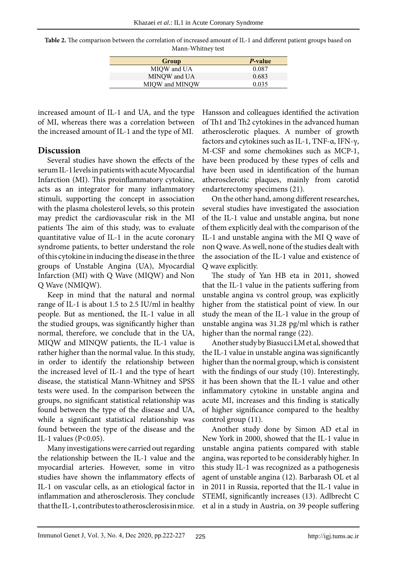| Table 2. The comparison between the correlation of increased amount of IL-1 and different patient groups based on |
|-------------------------------------------------------------------------------------------------------------------|
| Mann-Whitney test                                                                                                 |

| Group          | <i>P</i> -value |
|----------------|-----------------|
| MIOW and UA    | 0.087           |
| MINOW and UA   | 0.683           |
| MIQW and MINQW | 0.035           |

increased amount of IL-1 and UA, and the type of MI, whereas there was a correlation between the increased amount of IL-1 and the type of MI.

#### **Discussion**

Several studies have shown the effects of the serum IL-1 levels in patients with acute Myocardial Infarction (MI). This proinflammatory cytokine, acts as an integrator for many inflammatory stimuli, supporting the concept in association with the plasma cholesterol levels, so this protein may predict the cardiovascular risk in the MI patients The aim of this study, was to evaluate quantitative value of IL-1 in the acute coronary syndrome patients, to better understand the role of this cytokine in inducing the disease in the three groups of Unstable Angina (UA), Myocardial Infarction (MI) with Q Wave (MIQW) and Non Q Wave (NMIQW).

Keep in mind that the natural and normal range of IL-1 is about 1.5 to 2.5 IU/ml in healthy people. But as mentioned, the IL-1 value in all the studied groups, was significantly higher than normal, therefore, we conclude that in the UA, MIQW and MINQW patients, the IL-1 value is rather higher than the normal value. In this study, in order to identify the relationship between the increased level of IL-1 and the type of heart disease, the statistical Mann-Whitney and SPSS tests were used. In the comparison between the groups, no significant statistical relationship was found between the type of the disease and UA, while a significant statistical relationship was found between the type of the disease and the IL-1 values (P<0.05).

Many investigations were carried out regarding the relationship between the IL-1 value and the myocardial arteries. However, some in vitro studies have shown the inflammatory effects of IL-1 on vascular cells, as an etiological factor in inflammation and atherosclerosis. They conclude that the IL-1, contributes to atherosclerosis in mice.

Hansson and colleagues identified the activation of Th1 and Th2 cytokines in the advanced human atherosclerotic plaques. A number of growth factors and cytokines such as IL-1, TNF-α, IFN-γ, M-CSF and some chemokines such as MCP-1, have been produced by these types of cells and have been used in identification of the human atherosclerotic plaques, mainly from carotid endarterectomy specimens (21).

On the other hand, among different researches, several studies have investigated the association of the IL-1 value and unstable angina, but none of them explicitly deal with the comparison of the IL-1 and unstable angina with the MI Q wave of non Q wave. As well, none of the studies dealt with the association of the IL-1 value and existence of Q wave explicitly.

The study of Yan HB eta in 2011, showed that the IL-1 value in the patients suffering from unstable angina vs control group, was explicitly higher from the statistical point of view. In our study the mean of the IL-1 value in the group of unstable angina was 31.28 pg/ml which is rather higher than the normal range (22).

Another study by Biasucci LM et al, showed that the IL-1 value in unstable angina was significantly higher than the normal group, which is consistent with the findings of our study (10). Interestingly, it has been shown that the IL-1 value and other inflammatory cytokine in unstable angina and acute MI, increases and this finding is statically of higher significance compared to the healthy control group (11).

Another study done by Simon AD et.al in New York in 2000, showed that the IL-1 value in unstable angina patients compared with stable angina, was reported to be considerably higher. In this study IL-1 was recognized as a pathogenesis agent of unstable angina (12). Barbarash OL et al in 2011 in Russia, reported that the IL-1 value in STEMI, significantly increases (13). Adlbrecht C et al in a study in Austria, on 39 people suffering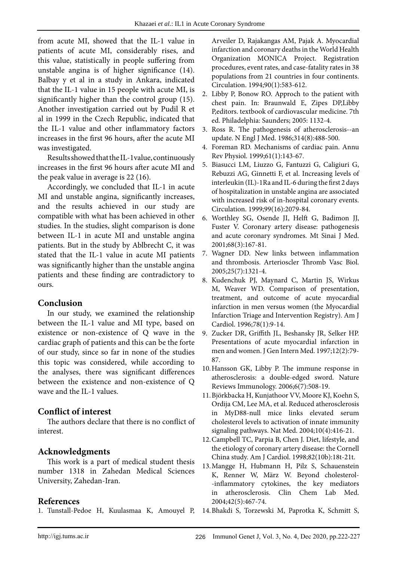from acute MI, showed that the IL-1 value in patients of acute MI, considerably rises, and this value, statistically in people suffering from unstable angina is of higher significance (14). Balbay y et al in a study in Ankara, indicated that the IL-1 value in 15 people with acute MI, is significantly higher than the control group (15). Another investigation carried out by Pudil R et al in 1999 in the Czech Republic, indicated that the IL-1 value and other inflammatory factors increases in the first 96 hours, after the acute MI was investigated.

Results showed that the IL-1value, continuously increases in the first 96 hours after acute MI and the peak value in average is 22 (16).

Accordingly, we concluded that IL-1 in acute MI and unstable angina, significantly increases, and the results achieved in our study are compatible with what has been achieved in other studies. In the studies, slight comparison is done between IL-1 in acute MI and unstable angina patients. But in the study by Ablbrecht C, it was stated that the IL-1 value in acute MI patients was significantly higher than the unstable angina patients and these finding are contradictory to ours.

### **Conclusion**

In our study, we examined the relationship between the IL-1 value and MI type, based on existence or non-existence of Q wave in the cardiac graph of patients and this can be the forte of our study, since so far in none of the studies this topic was considered, while according to the analyses, there was significant differences between the existence and non-existence of Q wave and the IL-1 values.

### **Conflict of interest**

The authors declare that there is no conflict of interest.

## **Acknowledgments**

This work is a part of medical student thesis number 1318 in Zahedan Medical Sciences University, Zahedan-Iran.

### **References**

Arveiler D, Rajakangas AM, Pajak A. Myocardial infarction and coronary deaths in the World Health Organization MONICA Project. Registration procedures, event rates, and case-fatality rates in 38 populations from 21 countries in four continents. Circulation. 1994;90(1):583-612.

- 2. Libby P, Bonow RO. Approch to the patient with chest pain. In: Braunwald E, Zipes DP,Libby P,editors. textbook of cardiovascular medicine. 7th ed. Philadelphia: Saunders; 2005: 1132-4.
- 3. Ross R. The pathogenesis of atherosclerosis--an update. N Engl J Med. 1986;314(8):488-500.
- 4. Foreman RD. Mechanisms of cardiac pain. Annu Rev Physiol. 1999;61(1):143-67.
- 5. Biasucci LM, Liuzzo G, Fantuzzi G, Caligiuri G, Rebuzzi AG, Ginnetti F, et al. Increasing levels of interleukin (IL)-1Ra and IL-6 during the first 2 days of hospitalization in unstable angina are associated with increased risk of in-hospital coronary events. Circulation. 1999;99(16):2079-84.
- 6. Worthley SG, Osende JI, Helft G, Badimon JJ, Fuster V. Coronary artery disease: pathogenesis and acute coronary syndromes. Mt Sinai J Med. 2001;68(3):167-81.
- 7. Wagner DD. New links between inflammation and thrombosis. Arterioscler Thromb Vasc Biol. 2005;25(7):1321-4.
- 8. Kudenchuk PJ, Maynard C, Martin JS, Wirkus M, Weaver WD. Comparison of presentation, treatment, and outcome of acute myocardial infarction in men versus women (the Myocardial Infarction Triage and Intervention Registry). Am J Cardiol. 1996;78(1):9-14.
- 9. Zucker DR, Griffith JL, Beshansky JR, Selker HP. Presentations of acute myocardial infarction in men and women. J Gen Intern Med. 1997;12(2):79- 87.
- 10.Hansson GK, Libby P. The immune response in atherosclerosis: a double-edged sword. Nature Reviews Immunology. 2006;6(7):508-19.
- 11.Björkbacka H, Kunjathoor VV, Moore KJ, Koehn S, Ordija CM, Lee MA, et al. Reduced atherosclerosis in MyD88-null mice links elevated serum cholesterol levels to activation of innate immunity signaling pathways. Nat Med. 2004;10(4):416-21.
- 12.Campbell TC, Parpia B, Chen J. Diet, lifestyle, and the etiology of coronary artery disease: the Cornell China study. Am J Cardiol. 1998;82(10b):18t-21t.
- 13.Mangge H, Hubmann H, Pilz S, Schauenstein K, Renner W, März W. Beyond cholesterol- -inflammatory cytokines, the key mediators in atherosclerosis. Clin Chem Lab Med. 2004;42(5):467-74.
- 1. Tunstall-Pedoe H, Kuulasmaa K, Amouyel P, 14.Bhakdi S, Torzewski M, Paprotka K, Schmitt S,